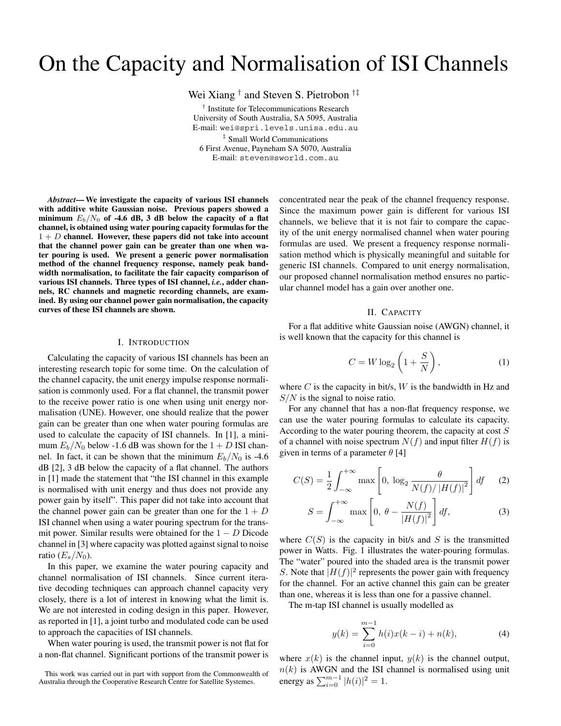# On the Capacity and Normalisation of ISI Channels

Wei Xiang *†* and Steven S. Pietrobon *†‡*

*†* Institute for Telecommunications Research University of South Australia, SA 5095, Australia E-mail: wei@spri.levels.unisa.edu.au *‡* Small World Communications 6 First Avenue, Payneham SA 5070, Australia E-mail: steven@sworld.com.au

*Abstract***— We investigate the capacity of various ISI channels with additive white Gaussian noise. Previous papers showed a minimum**  $E_b/N_0$  of -4.6 dB, 3 dB below the capacity of a flat **channel, is obtained using water pouring capacity formulas for the** 1 + *D* **channel. However, these papers did not take into account that the channel power gain can be greater than one when water pouring is used. We present a generic power normalisation method of the channel frequency response, namely peak bandwidth normalisation, to facilitate the fair capacity comparison of various ISI channels. Three types of ISI channel,** *i.e.***, adder channels, RC channels and magnetic recording channels, are examined. By using our channel power gain normalisation, the capacity curves of these ISI channels are shown.**

#### I. INTRODUCTION

Calculating the capacity of various ISI channels has been an interesting research topic for some time. On the calculation of the channel capacity, the unit energy impulse response normalisation is commonly used. For a flat channel, the transmit power to the receive power ratio is one when using unit energy normalisation (UNE). However, one should realize that the power gain can be greater than one when water pouring formulas are used to calculate the capacity of ISI channels. In [1], a minimum  $E_b/N_0$  below -1.6 dB was shown for the  $1 + D$  ISI channel. In fact, it can be shown that the minimum  $E_b/N_0$  is -4.6 dB [2], 3 dB below the capacity of a flat channel. The authors in [1] made the statement that "the ISI channel in this example is normalised with unit energy and thus does not provide any power gain by itself". This paper did not take into account that the channel power gain can be greater than one for the  $1 + D$ ISI channel when using a water pouring spectrum for the transmit power. Similar results were obtained for the 1 *− D* Dicode channel in [3] where capacity was plotted against signal to noise ratio  $(E_s/N_0)$ .

In this paper, we examine the water pouring capacity and channel normalisation of ISI channels. Since current iterative decoding techniques can approach channel capacity very closely, there is a lot of interest in knowing what the limit is. We are not interested in coding design in this paper. However, as reported in [1], a joint turbo and modulated code can be used to approach the capacities of ISI channels.

When water pouring is used, the transmit power is not flat for a non-flat channel. Significant portions of the transmit power is concentrated near the peak of the channel frequency response. Since the maximum power gain is different for various ISI channels, we believe that it is not fair to compare the capacity of the unit energy normalised channel when water pouring formulas are used. We present a frequency response normalisation method which is physically meaningful and suitable for generic ISI channels. Compared to unit energy normalisation, our proposed channel normalisation method ensures no particular channel model has a gain over another one.

# II. CAPACITY

For a flat additive white Gaussian noise (AWGN) channel, it is well known that the capacity for this channel is

$$
C = W \log_2 \left( 1 + \frac{S}{N} \right),\tag{1}
$$

where *C* is the capacity in bit/s, *W* is the bandwidth in Hz and *S/N* is the signal to noise ratio.

For any channel that has a non-flat frequency response, we can use the water pouring formulas to calculate its capacity. According to the water pouring theorem, the capacity at cost *S* of a channel with noise spectrum  $N(f)$  and input filter  $H(f)$  is given in terms of a parameter *θ* [4]

$$
C(S) = \frac{1}{2} \int_{-\infty}^{+\infty} \max\left[0, \log_2 \frac{\theta}{N(f)/|H(f)|^2}\right] df \qquad (2)
$$

$$
S = \int_{-\infty}^{+\infty} \max\left[0, \ \theta - \frac{N(f)}{|H(f)|^2}\right] df,\tag{3}
$$

where  $C(S)$  is the capacity in bit/s and  $S$  is the transmitted power in Watts. Fig. 1 illustrates the water-pouring formulas. The "water" poured into the shaded area is the transmit power *S*. Note that  $|H(f)|^2$  represents the power gain with frequency for the channel. For an active channel this gain can be greater than one, whereas it is less than one for a passive channel.

The m-tap ISI channel is usually modelled as

$$
y(k) = \sum_{i=0}^{m-1} h(i)x(k-i) + n(k),
$$
 (4)

where  $x(k)$  is the channel input,  $y(k)$  is the channel output,  $n(k)$  is AWGN and the ISI channel is normalised using unit energy as  $\sum_{i=0}^{m-1} |h(i)|^2 = 1$ .

This work was carried out in part with support from the Commonwealth of Australia through the Cooperative Research Centre for Satellite Systemes.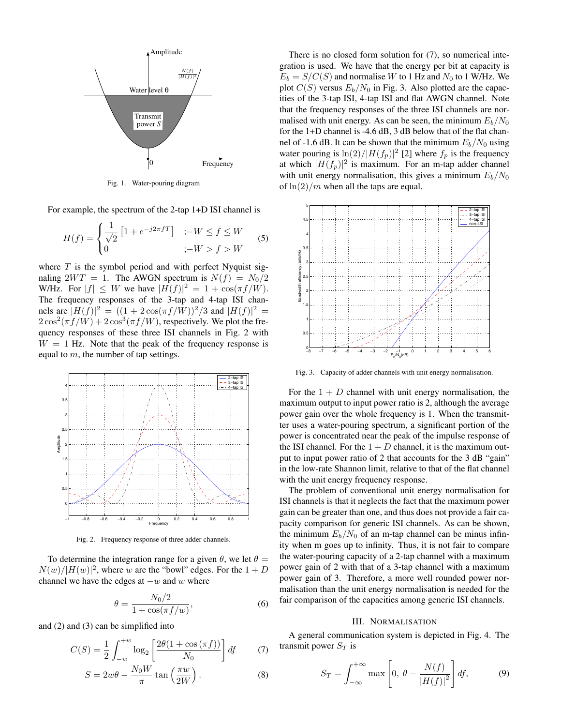

Fig. 1. Water-pouring diagram

For example, the spectrum of the 2-tap 1+D ISI channel is

$$
H(f) = \begin{cases} \frac{1}{\sqrt{2}} \left[ 1 + e^{-j2\pi fT} \right] & ; -W \le f \le W \\ 0 & ; -W > f > W \end{cases}
$$
 (5)

where *T* is the symbol period and with perfect Nyquist signaling  $2WT = 1$ . The AWGN spectrum is  $N(f) = N_0/2$ W/Hz. For  $|f| \leq W$  we have  $|H(f)|^2 = 1 + \cos(\pi f/W)$ . The frequency responses of the 3-tap and 4-tap ISI channels are  $|H(f)|^2 = ((1 + 2 \cos(\pi f/W))^2/3$  and  $|H(f)|^2 =$  $2\cos^2(\pi f/W) + 2\cos^3(\pi f/W)$ , respectively. We plot the frequency responses of these three ISI channels in Fig. 2 with  $W = 1$  Hz. Note that the peak of the frequency response is equal to *m*, the number of tap settings.



Fig. 2. Frequency response of three adder channels.

To determine the integration range for a given  $\theta$ , we let  $\theta =$  $N(w)/|H(w)|^2$ , where *w* are the "bowl" edges. For the  $1 + D$ channel we have the edges at *−w* and *w* where

$$
\theta = \frac{N_0/2}{1 + \cos(\pi f/w)},\tag{6}
$$

and (2) and (3) can be simplified into

$$
C(S) = \frac{1}{2} \int_{-w}^{+w} \log_2 \left[ \frac{2\theta(1 + \cos(\pi f))}{N_0} \right] df
$$
 (7)

$$
S = 2w\theta - \frac{N_0 W}{\pi} \tan\left(\frac{\pi w}{2W}\right). \tag{8}
$$

There is no closed form solution for (7), so numerical integration is used. We have that the energy per bit at capacity is  $E_b = S/C(S)$  and normalise *W* to 1 Hz and  $N_0$  to 1 W/Hz. We plot  $C(S)$  versus  $E_b/N_0$  in Fig. 3. Also plotted are the capacities of the 3-tap ISI, 4-tap ISI and flat AWGN channel. Note that the frequency responses of the three ISI channels are normalised with unit energy. As can be seen, the minimum  $E_b/N_0$ for the 1+D channel is -4.6 dB, 3 dB below that of the flat channel of -1.6 dB. It can be shown that the minimum  $E_b/N_0$  using water pouring is  $\ln(2)/|H(f_p)|^2$  [2] where  $f_p$  is the frequency at which  $|H(f_p)|^2$  is maximum. For an m-tap adder channel with unit energy normalisation, this gives a minimum *Eb/N*<sup>0</sup> of ln(2)*/m* when all the taps are equal.



Fig. 3. Capacity of adder channels with unit energy normalisation.

For the  $1 + D$  channel with unit energy normalisation, the maximum output to input power ratio is 2, although the average power gain over the whole frequency is 1. When the transmitter uses a water-pouring spectrum, a significant portion of the power is concentrated near the peak of the impulse response of the ISI channel. For the  $1 + D$  channel, it is the maximum output to input power ratio of 2 that accounts for the 3 dB "gain" in the low-rate Shannon limit, relative to that of the flat channel with the unit energy frequency response.

The problem of conventional unit energy normalisation for ISI channels is that it neglects the fact that the maximum power gain can be greater than one, and thus does not provide a fair capacity comparison for generic ISI channels. As can be shown, the minimum  $E_b/N_0$  of an m-tap channel can be minus infinity when m goes up to infinity. Thus, it is not fair to compare the water-pouring capacity of a 2-tap channel with a maximum power gain of 2 with that of a 3-tap channel with a maximum power gain of 3. Therefore, a more well rounded power normalisation than the unit energy normalisation is needed for the fair comparison of the capacities among generic ISI channels.

#### III. NORMALISATION

A general communication system is depicted in Fig. 4. The transmit power *S<sup>T</sup>* is

$$
S_T = \int_{-\infty}^{+\infty} \max\left[0, \ \theta - \frac{N(f)}{|H(f)|^2}\right] df,\tag{9}
$$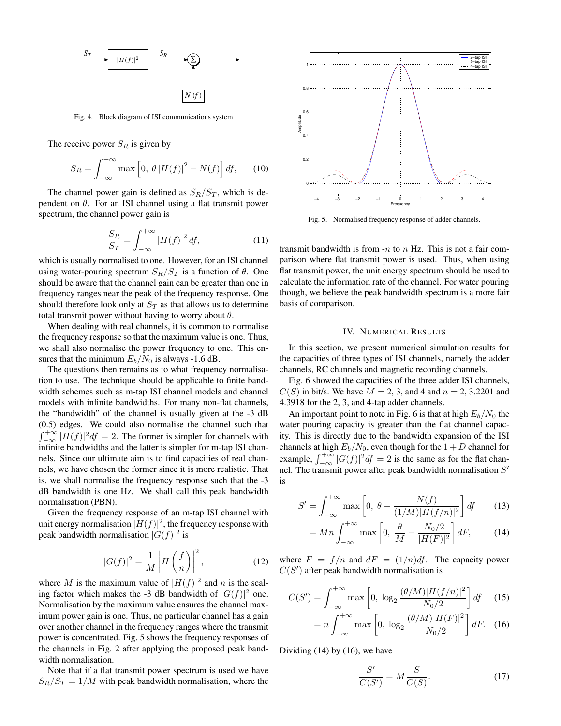

Fig. 4. Block diagram of ISI communications system

The receive power *S<sup>R</sup>* is given by

$$
S_R = \int_{-\infty}^{+\infty} \max\left[0, \ \theta \left|H(f)\right|^2 - N(f)\right] df,\tag{10}
$$

The channel power gain is defined as  $S_R/S_T$ , which is dependent on  $\theta$ . For an ISI channel using a flat transmit power spectrum, the channel power gain is

$$
\frac{S_R}{S_T} = \int_{-\infty}^{+\infty} |H(f)|^2 \, df,\tag{11}
$$

which is usually normalised to one. However, for an ISI channel using water-pouring spectrum  $S_R/S_T$  is a function of  $\theta$ . One should be aware that the channel gain can be greater than one in frequency ranges near the peak of the frequency response. One should therefore look only at  $S_T$  as that allows us to determine total transmit power without having to worry about *θ*.

When dealing with real channels, it is common to normalise the frequency response so that the maximum value is one. Thus, we shall also normalise the power frequency to one. This ensures that the minimum  $E_b/N_0$  is always -1.6 dB.

The questions then remains as to what frequency normalisation to use. The technique should be applicable to finite bandwidth schemes such as m-tap ISI channel models and channel models with infinite bandwidths. For many non-flat channels, the "bandwidth" of the channel is usually given at the -3 dB (0.5) edges. We could also normalise the channel such that  $\int_{-\infty}^{+\infty} |H(f)|^2 df = 2$ . The former is simpler for channels with infinite bandwidths and the latter is simpler for m-tap ISI channels. Since our ultimate aim is to find capacities of real channels, we have chosen the former since it is more realistic. That is, we shall normalise the frequency response such that the -3 dB bandwidth is one Hz. We shall call this peak bandwidth normalisation (PBN).

Given the frequency response of an m-tap ISI channel with unit energy normalisation  $|H(f)|^2$ , the frequency response with peak bandwidth normalisation  $|G(f)|^2$  is

$$
|G(f)|^2 = \frac{1}{M} \left| H\left(\frac{f}{n}\right) \right|^2, \tag{12}
$$

where *M* is the maximum value of  $|H(f)|^2$  and *n* is the scaling factor which makes the -3 dB bandwidth of  $|G(f)|^2$  one. Normalisation by the maximum value ensures the channel maximum power gain is one. Thus, no particular channel has a gain over another channel in the frequency ranges where the transmit power is concentrated. Fig. 5 shows the frequency responses of the channels in Fig. 2 after applying the proposed peak bandwidth normalisation.

Note that if a flat transmit power spectrum is used we have  $S_R/S_T = 1/M$  with peak bandwidth normalisation, where the



Fig. 5. Normalised frequency response of adder channels.

transmit bandwidth is from -*n* to *n* Hz. This is not a fair comparison where flat transmit power is used. Thus, when using flat transmit power, the unit energy spectrum should be used to calculate the information rate of the channel. For water pouring though, we believe the peak bandwidth spectrum is a more fair basis of comparison.

## IV. NUMERICAL RESULTS

In this section, we present numerical simulation results for the capacities of three types of ISI channels, namely the adder channels, RC channels and magnetic recording channels.

Fig. 6 showed the capacities of the three adder ISI channels, *C*(*S*) in bit/s. We have  $M = 2, 3$ , and 4 and  $n = 2, 3.2201$  and 4.3918 for the 2, 3, and 4-tap adder channels.

An important point to note in Fig. 6 is that at high  $E_b/N_0$  the water pouring capacity is greater than the flat channel capacity. This is directly due to the bandwidth expansion of the ISI channels at high  $E_b/N_0$ , even though for the  $1+D$  channel for example,  $\int_{-\infty}^{+\infty} |G(f)|^2 df = 2$  is the same as for the flat channel. The transmit power after peak bandwidth normalisation *S* is

$$
S' = \int_{-\infty}^{+\infty} \max\left[0, \ \theta - \frac{N(f)}{(1/M)|H(f/n)|^2}\right] df \qquad (13)
$$

$$
= Mn \int_{-\infty}^{+\infty} \max\left[0, \frac{\theta}{M} - \frac{N_0/2}{|H(F)|^2}\right] dF,\qquad(14)
$$

where  $F = f/n$  and  $dF = (1/n)df$ . The capacity power  $C(S')$  after peak bandwidth normalisation is

$$
C(S') = \int_{-\infty}^{+\infty} \max\left[0, \log_2 \frac{(\theta/M)|H(f/n)|^2}{N_0/2}\right] df \quad (15)
$$

$$
= n \int_{-\infty}^{+\infty} \max\left[0, \log_2 \frac{(\theta/M)|H(F)|^2}{N_0/2}\right] dF. \quad (16)
$$

Dividing (14) by (16), we have

$$
\frac{S'}{C(S')} = M \frac{S}{C(S)}.\tag{17}
$$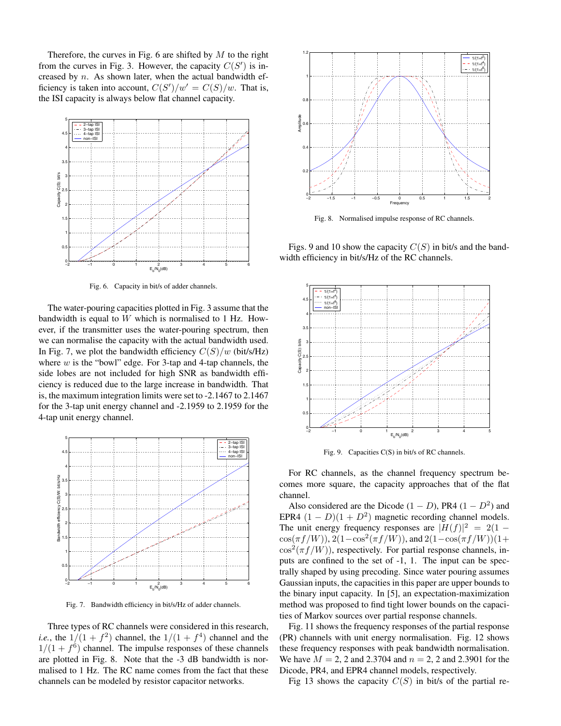Therefore, the curves in Fig. 6 are shifted by *M* to the right from the curves in Fig. 3. However, the capacity  $C(S')$  is increased by *n*. As shown later, when the actual bandwidth efficiency is taken into account,  $C(S')/w' = C(S)/w$ . That is, the ISI capacity is always below flat channel capacity.



Fig. 6. Capacity in bit/s of adder channels.

The water-pouring capacities plotted in Fig. 3 assume that the bandwidth is equal to *W* which is normalised to 1 Hz. However, if the transmitter uses the water-pouring spectrum, then we can normalise the capacity with the actual bandwidth used. In Fig. 7, we plot the bandwidth efficiency  $C(S)/w$  (bit/s/Hz) where *w* is the "bowl" edge. For 3-tap and 4-tap channels, the side lobes are not included for high SNR as bandwidth efficiency is reduced due to the large increase in bandwidth. That is, the maximum integration limits were set to -2.1467 to 2.1467 for the 3-tap unit energy channel and -2.1959 to 2.1959 for the 4-tap unit energy channel.



Fig. 7. Bandwidth efficiency in bit/s/Hz of adder channels.

Three types of RC channels were considered in this research, *i.e.*, the  $1/(1 + f^2)$  channel, the  $1/(1 + f^4)$  channel and the  $1/(1 + f^6)$  channel. The impulse responses of these channels are plotted in Fig. 8. Note that the -3 dB bandwidth is normalised to 1 Hz. The RC name comes from the fact that these channels can be modeled by resistor capacitor networks.



Fig. 8. Normalised impulse response of RC channels.

Figs. 9 and 10 show the capacity *C*(*S*) in bit/s and the bandwidth efficiency in bit/s/Hz of the RC channels.



Fig. 9. Capacities C(S) in bit/s of RC channels.

For RC channels, as the channel frequency spectrum becomes more square, the capacity approaches that of the flat channel.

Also considered are the Dicode  $(1 - D)$ , PR4  $(1 - D^2)$  and EPR4  $(1 - D)(1 + D^2)$  magnetic recording channel models. The unit energy frequency responses are  $|H(f)|^2 = 2(1 \cos(\pi f/W)$ ),  $2(1-\cos^2(\pi f/W))$ , and  $2(1-\cos(\pi f/W))(1+\pi f)$  $\cos^2(\pi f/W)$ , respectively. For partial response channels, inputs are confined to the set of -1, 1. The input can be spectrally shaped by using precoding. Since water pouring assumes Gaussian inputs, the capacities in this paper are upper bounds to the binary input capacity. In [5], an expectation-maximization method was proposed to find tight lower bounds on the capacities of Markov sources over partial response channels.

Fig. 11 shows the frequency responses of the partial response (PR) channels with unit energy normalisation. Fig. 12 shows these frequency responses with peak bandwidth normalisation. We have *M* = 2, 2 and 2.3704 and *n* = 2, 2 and 2.3901 for the Dicode, PR4, and EPR4 channel models, respectively.

Fig 13 shows the capacity  $C(S)$  in bit/s of the partial re-